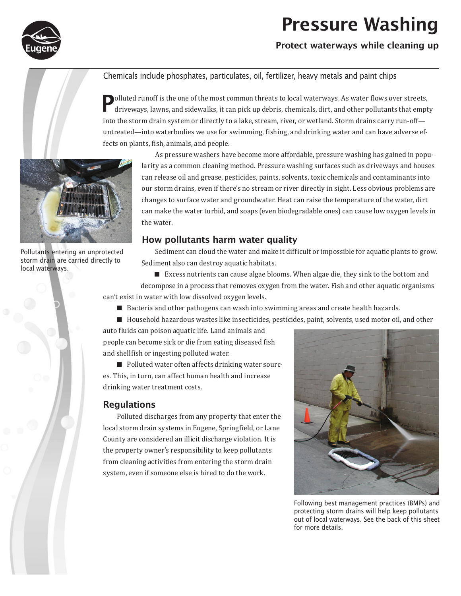# Pressure Washing



## Protect waterways while cleaning up

Chemicals include phosphates, particulates, oil, fertilizer, heavy metals and paint chips

Polluted runoff is the one of the most common threats to local waterways. As water flows over streets, driveways, lawns, and sidewalks, it can pick up debris, chemicals, dirt, and other pollutants that empty into the storm drain system or directly to a lake, stream, river, or wetland. Storm drains carry run-off untreated—into waterbodies we use for swimming, fishing, and drinking water and can have adverse effects on plants, fish, animals, and people.



Pollutants entering an unprotected storm drain are carried directly to

local waterways.

As pressure washers have become more affordable, pressure washing has gained in popularity as a common cleaning method. Pressure washing surfaces such as driveways and houses can release oil and grease, pesticides, paints, solvents, toxic chemicals and contaminants into our storm drains, even if there's no stream or river directly in sight. Less obvious problems are changes to surface water and groundwater. Heat can raise the temperature of the water, dirt can make the water turbid, and soaps (even biodegradable ones) can cause low oxygen levels in the water.

### How pollutants harm water quality

Sediment can cloud the water and make it difficult or impossible for aquatic plants to grow. Sediment also can destroy aquatic habitats.

 $\blacksquare$  Excess nutrients can cause algae blooms. When algae die, they sink to the bottom and decompose in a process that removes oxygen from the water. Fish and other aquatic organisms can't exist in water with low dissolved oxygen levels.

 $\blacksquare$  Bacteria and other pathogens can wash into swimming areas and create health hazards.

 $\blacksquare$  Household hazardous wastes like insecticides, pesticides, paint, solvents, used motor oil, and other

auto fluids can poison aquatic life. Land animals and people can become sick or die from eating diseased fish and shellfish or ingesting polluted water.

■ Polluted water often affects drinking water sources. This, in turn, can affect human health and increase drinking water treatment costs.

#### Regulations

Polluted discharges from any property that enter the local storm drain systems in Eugene, Springfield, or Lane County are considered an illicit discharge violation. It is the property owner's responsibility to keep pollutants from cleaning activities from entering the storm drain system, even if someone else is hired to do the work.



Following best management practices (BMPs) and protecting storm drains will help keep pollutants out of local waterways. See the back of this sheet for more details.